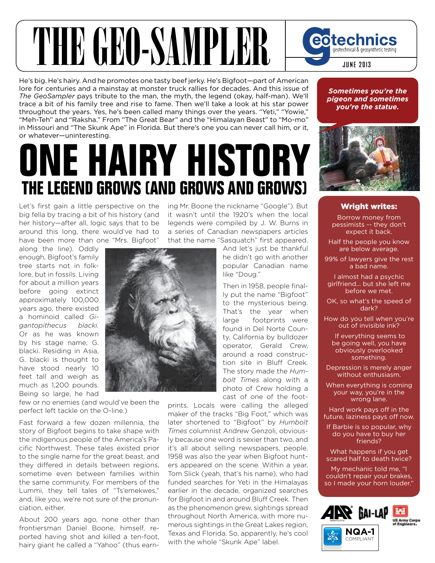## THE GEO-SAMPLER

He's big. He's hairy. And he promotes one tasty beef jerky. He's Bigfoot—part of American lore for centuries and a mainstay at monster truck rallies for decades. And this issue of *The GeoSampler* pays tribute to the man, the myth, the legend (okay, half-man). We'll trace a bit of his family tree and rise to fame. Then we'll take a look at his star power throughout the years. Yes, he's been called many things over the years. "Yeti," "Yowie," "Meh-Teh" and "Raksha." From "The Great Bear" and the "Himalayan Beast" to "Mo-mo" in Missouri and "The Skunk Ape" in Florida. But there's one you can never call him, or it, or whatever—uninteresting.

## **One Hairy HistOry tHe Legend grOws (and grOws and grOws)**

Let's first gain a little perspective on the big fella by tracing a bit of his history (and her history—after all, logic says that to be around this long, there would've had to have been more than one "Mrs. Bigfoot"

ing Mr. Boone the nickname "Google"). But it wasn't until the 1920's when the local legends were compiled by J. W. Burns in a series of Canadian newspapers articles that the name "Sasquatch" first appeared.

along the line). Oddly enough, Bigfoot's family tree starts not in folklore, but in fossils. Living for about a million years before going extinct approximately 100,000 years ago, there existed a hominoid called *Gigantopithecus blacki.*  Or as he was known by his stage name, G. blacki. Residing in Asia, G. blacki is thought to have stood nearly 10 feet tall and weigh as much as 1,200 pounds. Being so large, he had

few or no enemies (and would've been the perfect left tackle on the O-line.)

Fast forward a few dozen millennia, the story of Bigfoot begins to take shape with the indigenous people of the America's Pacific Northwest. These tales existed prior to the single name for the great beast, and they differed in details between regions, sometime even between families within the same community. For members of the Lummi, they tell tales of "Ts'emekwes," and, like you, we're not sure of the pronunciation, either.

About 200 years ago, none other than frontiersman Daniel Boone, himself, reported having shot and killed a ten-foot, hairy giant he called a "Yahoo" (thus earn-



And let's just be thankful he didn't go with another popular Canadian name like "Doug."

Then in 1958, people finally put the name "Bigfoot" to the mysterious being. That's the year when large footprints were found in Del Norte County, California by bulldozer operator, Gerald Crew, around a road construction site in Bluff Creek. The story made the *Humbolt Times* along with a photo of Crew holding a cast of one of the foot-

prints. Locals were calling the alleged maker of the tracks "Big Foot," which was later shortened to "Bigfoot" by *Humbolt Times* columnist Andrew Genzoli, obviously because one word is sexier than two, and it's all about selling newspapers, people. 1958 was also the year when Bigfoot hunters appeared on the scene. Within a year, Tom Slick (yeah, that's his name), who had funded searches for Yeti in the Himalayas earlier in the decade, organized searches for Bigfoot in and around Bluff Creek. Then as the phenomenon grew, sightings spread throughout North America, with more numerous sightings in the Great Lakes region, Texas and Florida. So, apparently, he's cool with the whole "Skunk Ape" label.

*Sometimes you're the pigeon and sometimes you're the statue.*

**JUNE 2013**

geotechnical & geosynthetic testing

eotechnics



## Wright writes:

Borrow money from pessimists -- they don't expect it back.

Half the people you know are below average.

99% of lawyers give the rest a bad name.

I almost had a psychic girlfriend... but she left me before we met.

OK, so what's the speed of dark?

How do you tell when you're out of invisible ink?

 If everything seems to be going well, you have obviously overlooked something.

Depression is merely anger without enthusiasm.

When everything is coming your way, you're in the wrong lane.

Hard work pays off in the future, laziness pays off now.

If Barbie is so popular, why do you have to buy her friends?

What happens if you get scared half to death twice?

My mechanic told me, "I couldn't repair your brakes, so I made your horn louder."